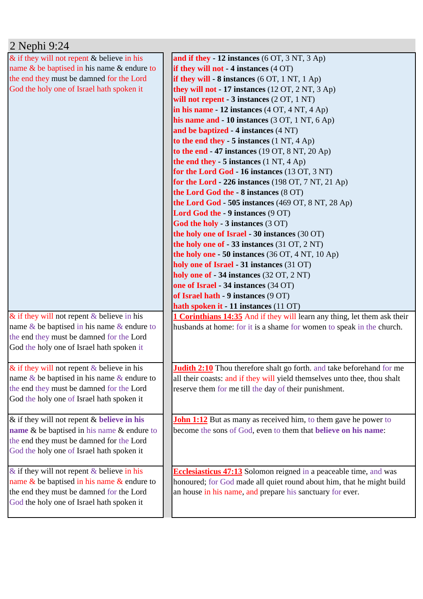| 2 Nephi 9:24                                     |                                                                                 |
|--------------------------------------------------|---------------------------------------------------------------------------------|
| $\&$ if they will not repent $\&$ believe in his | and if they $-12$ instances (6 OT, 3 NT, 3 Ap)                                  |
| name & be baptised in his name & endure to       | if they will not $-4$ instances $(4 \text{ OT})$                                |
| the end they must be damned for the Lord         | if they will $-8$ instances (6 OT, 1 NT, 1 Ap)                                  |
| God the holy one of Israel hath spoken it        | they will not $-17$ instances (12 OT, 2 NT, 3 Ap)                               |
|                                                  | will not repent - $3$ instances $(2 OT, 1 NT)$                                  |
|                                                  | in his name $-12$ instances $(4 OT, 4 NT, 4 Ap)$                                |
|                                                  | his name and $-10$ instances (3 OT, 1 NT, 6 Ap)                                 |
|                                                  | and be baptized - 4 instances (4 NT)                                            |
|                                                  | to the end they $-5$ instances $(1 \text{ NT}, 4 \text{ Ap})$                   |
|                                                  | to the end $-47$ instances (19 OT, 8 NT, 20 Ap)                                 |
|                                                  | the end they - $5$ instances $(1 \text{ NT}, 4 \text{ Ap})$                     |
|                                                  | for the Lord God - 16 instances (13 OT, 3 NT)                                   |
|                                                  | for the Lord - 226 instances (198 OT, 7 NT, 21 Ap)                              |
|                                                  | the Lord God the - 8 instances (8 OT)                                           |
|                                                  | the Lord God - 505 instances (469 OT, 8 NT, 28 Ap)                              |
|                                                  | Lord God the - 9 instances (9 OT)                                               |
|                                                  | God the holy - 3 instances (3 OT)                                               |
|                                                  | the holy one of Israel - 30 instances (30 OT)                                   |
|                                                  | the holy one of $-33$ instances (31 OT, 2 NT)                                   |
|                                                  | the holy one $-50$ instances (36 OT, 4 NT, 10 Ap)                               |
|                                                  | holy one of Israel - 31 instances (31 OT)                                       |
|                                                  | holy one of - 34 instances (32 OT, 2 NT)                                        |
|                                                  | one of Israel - 34 instances (34 OT)                                            |
|                                                  | of Israel hath - 9 instances (9 OT)                                             |
|                                                  | hath spoken it - 11 instances (11 OT)                                           |
| & if they will not repent $&$ believe in his     | <b>1 Corinthians 14:35</b> And if they will learn any thing, let them ask their |
| name $\&$ be baptised in his name $\&$ endure to | husbands at home: for it is a shame for women to speak in the church.           |
| the end they must be damned for the Lord         |                                                                                 |
| God the holy one of Israel hath spoken it        |                                                                                 |
|                                                  |                                                                                 |
| & if they will not repent $\&$ believe in his    | <b>Judith 2:10</b> Thou therefore shalt go forth. and take beforehand for me    |
| name $\&$ be baptised in his name $\&$ endure to | all their coasts: and if they will yield themselves unto thee, thou shalt       |
| the end they must be damned for the Lord         | reserve them for me till the day of their punishment.                           |
| God the holy one of Israel hath spoken it        |                                                                                 |
|                                                  |                                                                                 |
| & if they will not repent $&$ believe in his     | <b>John 1:12</b> But as many as received him, to them gave he power to          |
| name & be baptised in his name & endure to       | become the sons of God, even to them that believe on his name:                  |
| the end they must be damned for the Lord         |                                                                                 |
| God the holy one of Israel hath spoken it        |                                                                                 |
| & if they will not repent $&$ believe in his     | <b>Ecclesiasticus 47:13</b> Solomon reigned in a peaceable time, and was        |
| name $\&$ be baptised in his name $\&$ endure to | honoured; for God made all quiet round about him, that he might build           |
| the end they must be damned for the Lord         | an house in his name, and prepare his sanctuary for ever.                       |
| God the holy one of Israel hath spoken it        |                                                                                 |
|                                                  |                                                                                 |
|                                                  |                                                                                 |